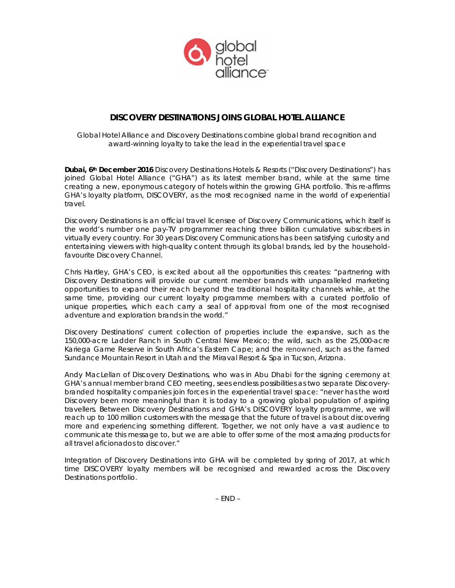

# **DISCOVERY DESTINATIONS JOINS GLOBAL HOTEL ALLIANCE**

*Global Hotel Alliance and Discovery Destinations combine global brand recognition and award-winning loyalty to take the lead in the experiential travel space*

*Dubai, 6th December 2016* Discovery Destinations Hotels & Resorts ("Discovery Destinations") has joined Global Hotel Alliance ("GHA") as its latest member brand, while at the same time creating a new, eponymous category of hotels within the growing GHA portfolio. This re-affirms GHA's loyalty platform, *DISCOVERY*, as the most recognised name in the world of experiential travel.

Discovery Destinations is an official travel licensee of Discovery Communications, which itself is the world's number one pay-TV programmer reaching three billion cumulative subscribers in virtually every country. For 30 years Discovery Communications has been satisfying curiosity and entertaining viewers with high-quality content through its global brands, led by the householdfavourite *Discovery Channel*.

Chris Hartley, GHA's CEO, is excited about all the opportunities this creates: "partnering with Discovery Destinations will provide our current member brands with unparalleled marketing opportunities to expand their reach beyond the traditional hospitality channels while, at the same time, providing our current loyalty programme members with a curated portfolio of unique properties, which each carry a seal of approval from one of the most recognised adventure and exploration brands in the world."

Discovery Destinations' current collection of properties include the expansive, such as the 150,000-acre Ladder Ranch in South Central New Mexico; the wild, such as the 25,000-acre Kariega Game Reserve in South Africa's Eastern Cape; and the renowned, such as the famed Sundance Mountain Resort in Utah and the Miraval Resort & Spa in Tucson, Arizona.

Andy MacLellan of Discovery Destinations, who was in Abu Dhabi for the signing ceremony at GHA's annual member brand CEO meeting, sees endless possibilities as two separate Discoverybranded hospitality companies join forces in the experiential travel space: "never has the word Discovery been more meaningful than it is today to a growing global population of aspiring travellers. Between Discovery Destinations and GHA's DISCOVERY loyalty programme, we will reach up to 100 million customers with the message that the future of travel is about discovering more and experiencing something different. Together, we not only have a vast audience to communicate this message to, but we are able to offer some of the most amazing products for all travel aficionados to discover."

Integration of Discovery Destinations into GHA will be completed by spring of 2017, at which time DISCOVERY loyalty members will be recognised and rewarded across the Discovery Destinations portfolio.

 $- FND -$